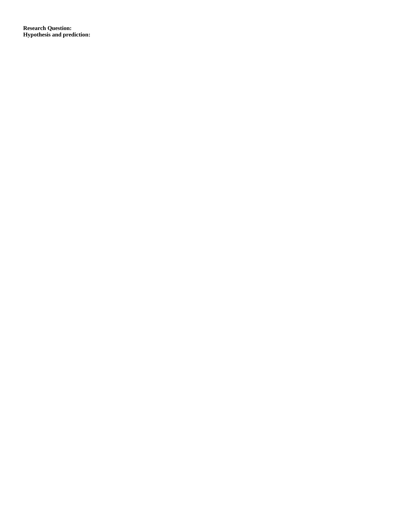**Research Question: Hypothesis and prediction:**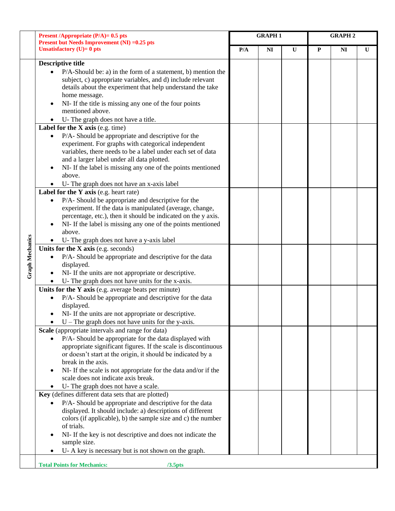|                        | <b>Present /Appropriate (P/A)= 0.5 pts</b><br><b>Present but Needs Improvement (NI) = 0.25 pts</b>                                                                                                                                                                                                                                                                                                               | <b>GRAPH1</b> |                |              | <b>GRAPH 2</b> |                |              |
|------------------------|------------------------------------------------------------------------------------------------------------------------------------------------------------------------------------------------------------------------------------------------------------------------------------------------------------------------------------------------------------------------------------------------------------------|---------------|----------------|--------------|----------------|----------------|--------------|
|                        | Unsatisfactory $(U)=0$ pts                                                                                                                                                                                                                                                                                                                                                                                       |               | N <sub>I</sub> | $\mathbf{U}$ | ${\bf P}$      | N <sub>I</sub> | $\mathbf{U}$ |
|                        | <b>Descriptive title</b><br>$P/A$ -Should be: a) in the form of a statement, b) mention the<br>subject, c) appropriate variables, and d) include relevant<br>details about the experiment that help understand the take<br>home message.<br>NI- If the title is missing any one of the four points<br>mentioned above.                                                                                           |               |                |              |                |                |              |
|                        | U-The graph does not have a title.<br>Label for the $X$ axis (e.g. time)                                                                                                                                                                                                                                                                                                                                         |               |                |              |                |                |              |
|                        | P/A- Should be appropriate and descriptive for the<br>$\bullet$<br>experiment. For graphs with categorical independent<br>variables, there needs to be a label under each set of data<br>and a larger label under all data plotted.<br>NI- If the label is missing any one of the points mentioned<br>above.                                                                                                     |               |                |              |                |                |              |
|                        | U-The graph does not have an x-axis label                                                                                                                                                                                                                                                                                                                                                                        |               |                |              |                |                |              |
|                        | Label for the Y axis (e.g. heart rate)<br>P/A- Should be appropriate and descriptive for the<br>experiment. If the data is manipulated (average, change,<br>percentage, etc.), then it should be indicated on the y axis.<br>NI- If the label is missing any one of the points mentioned<br>above.<br>U-The graph does not have a y-axis label                                                                   |               |                |              |                |                |              |
|                        | Units for the X axis (e.g. seconds)                                                                                                                                                                                                                                                                                                                                                                              |               |                |              |                |                |              |
| <b>Graph Mechanics</b> | P/A- Should be appropriate and descriptive for the data<br>displayed.<br>NI- If the units are not appropriate or descriptive.<br>U- The graph does not have units for the x-axis.                                                                                                                                                                                                                                |               |                |              |                |                |              |
|                        | Units for the Y axis (e.g. average beats per minute)<br>P/A- Should be appropriate and descriptive for the data<br>displayed.<br>NI- If the units are not appropriate or descriptive.<br>$U$ – The graph does not have units for the y-axis.                                                                                                                                                                     |               |                |              |                |                |              |
|                        | Scale (appropriate intervals and range for data)<br>P/A- Should be appropriate for the data displayed with<br>appropriate significant figures. If the scale is discontinuous<br>or doesn't start at the origin, it should be indicated by a<br>break in the axis.<br>NI- If the scale is not appropriate for the data and/or if the<br>scale does not indicate axis break.<br>U-The graph does not have a scale. |               |                |              |                |                |              |
|                        | Key (defines different data sets that are plotted)                                                                                                                                                                                                                                                                                                                                                               |               |                |              |                |                |              |
|                        | P/A- Should be appropriate and descriptive for the data<br>displayed. It should include: a) descriptions of different<br>colors (if applicable), b) the sample size and c) the number<br>of trials.<br>NI- If the key is not descriptive and does not indicate the<br>sample size.<br>U-A key is necessary but is not shown on the graph.                                                                        |               |                |              |                |                |              |
|                        | <b>Total Points for Mechanics:</b>                                                                                                                                                                                                                                                                                                                                                                               |               |                |              |                |                |              |
|                        | $/3.5$ pts                                                                                                                                                                                                                                                                                                                                                                                                       |               |                |              |                |                |              |